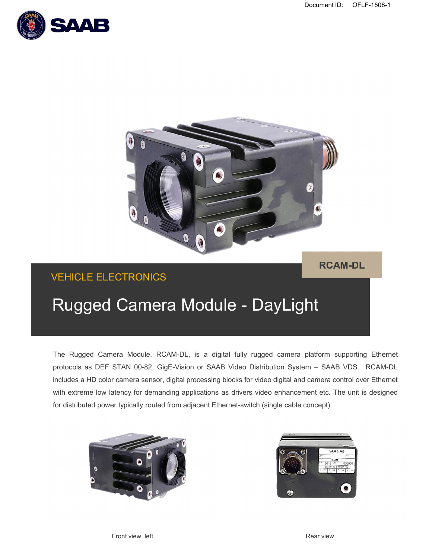



# VEHICLE ELECTRONICS

## **RCAM-DL**

# Rugged Camera Module - DayLight

The Rugged Camera Module, RCAM-DL, is a digital fully rugged camera platform supporting Ethernet protocols as DEF STAN 00-82, GigE-Vision or SAAB Video Distribution System – SAAB VDS. RCAM-DL includes a HD color camera sensor, digital processing blocks for video digital and camera control over Ethernet with extreme low latency for demanding applications as drivers video enhancement etc. The unit is designed for distributed power typically routed from adjacent Ethernet-switch (single cable concept).